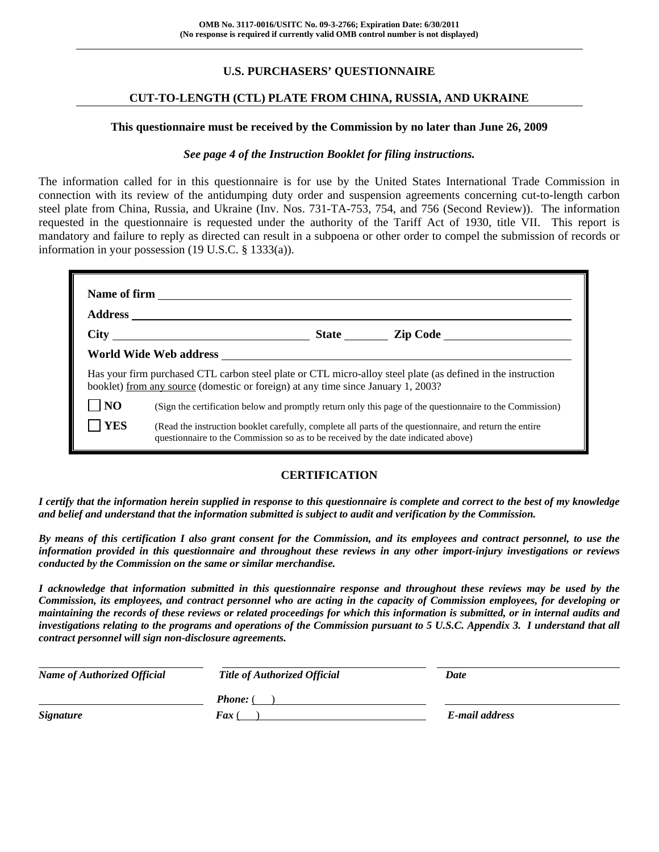# **U.S. PURCHASERS' QUESTIONNAIRE**

### **CUT-TO-LENGTH (CTL) PLATE FROM CHINA, RUSSIA, AND UKRAINE**

#### **This questionnaire must be received by the Commission by no later than June 26, 2009**

### *See page 4 of the Instruction Booklet for filing instructions.*

The information called for in this questionnaire is for use by the United States International Trade Commission in connection with its review of the antidumping duty order and suspension agreements concerning cut-to-length carbon steel plate from China, Russia, and Ukraine (Inv. Nos. 731-TA-753, 754, and 756 (Second Review)). The information requested in the questionnaire is requested under the authority of the Tariff Act of 1930, title VII. This report is mandatory and failure to reply as directed can result in a subpoena or other order to compel the submission of records or information in your possession (19 U.S.C. § 1333(a)).

|                | Has your firm purchased CTL carbon steel plate or CTL micro-alloy steel plate (as defined in the instruction<br>booklet) from any source (domestic or foreign) at any time since January 1, 2003? |
|----------------|---------------------------------------------------------------------------------------------------------------------------------------------------------------------------------------------------|
| N <sub>O</sub> | (Sign the certification below and promptly return only this page of the questionnaire to the Commission)                                                                                          |
| <b>YES</b>     | (Read the instruction booklet carefully, complete all parts of the questionnaire, and return the entire<br>questionnaire to the Commission so as to be received by the date indicated above)      |

### **CERTIFICATION**

*I certify that the information herein supplied in response to this questionnaire is complete and correct to the best of my knowledge and belief and understand that the information submitted is subject to audit and verification by the Commission.* 

*By means of this certification I also grant consent for the Commission, and its employees and contract personnel, to use the information provided in this questionnaire and throughout these reviews in any other import-injury investigations or reviews conducted by the Commission on the same or similar merchandise.* 

*I acknowledge that information submitted in this questionnaire response and throughout these reviews may be used by the Commission, its employees, and contract personnel who are acting in the capacity of Commission employees, for developing or maintaining the records of these reviews or related proceedings for which this information is submitted, or in internal audits and investigations relating to the programs and operations of the Commission pursuant to 5 U.S.C. Appendix 3. I understand that all contract personnel will sign non-disclosure agreements.* 

| <b>Name of Authorized Official</b> | <b>Title of Authorized Official</b> | Date           |
|------------------------------------|-------------------------------------|----------------|
|                                    | <b>Phone:</b> (                     |                |
| <b>Signature</b>                   | <b>Fax</b> (                        | E-mail address |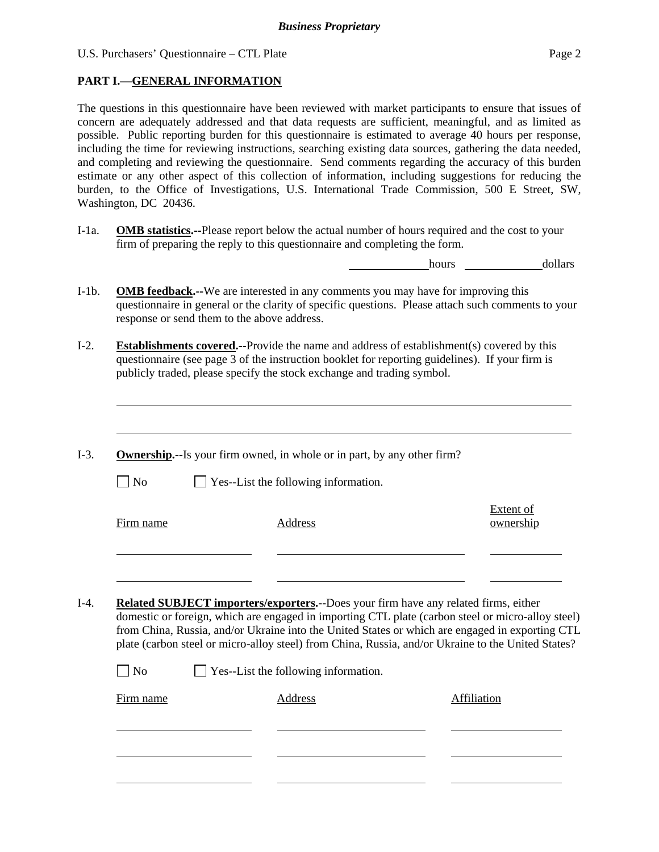U.S. Purchasers' Questionnaire – CTL Plate Page 2

# **PART I.—GENERAL INFORMATION**

 $\overline{a}$ 

The questions in this questionnaire have been reviewed with market participants to ensure that issues of concern are adequately addressed and that data requests are sufficient, meaningful, and as limited as possible. Public reporting burden for this questionnaire is estimated to average 40 hours per response, including the time for reviewing instructions, searching existing data sources, gathering the data needed, and completing and reviewing the questionnaire. Send comments regarding the accuracy of this burden estimate or any other aspect of this collection of information, including suggestions for reducing the burden, to the Office of Investigations, U.S. International Trade Commission, 500 E Street, SW, Washington, DC 20436.

I-1a. **OMB statistics.--**Please report below the actual number of hours required and the cost to your firm of preparing the reply to this questionnaire and completing the form.

**hours** <u>dollars</u>

- I-1b. **OMB feedback.--**We are interested in any comments you may have for improving this questionnaire in general or the clarity of specific questions. Please attach such comments to your response or send them to the above address.
- I-2. **Establishments covered.--**Provide the name and address of establishment(s) covered by this questionnaire (see page 3 of the instruction booklet for reporting guidelines). If your firm is publicly traded, please specify the stock exchange and trading symbol.
- I-3. **Ownership.--**Is your firm owned, in whole or in part, by any other firm?  $\Box$  No  $\Box$  Yes--List the following information. Firm name Address Extent of ownership l l I-4. **Related SUBJECT importers/exporters.--**Does your firm have any related firms, either
- domestic or foreign, which are engaged in importing CTL plate (carbon steel or micro-alloy steel) from China, Russia, and/or Ukraine into the United States or which are engaged in exporting CTL plate (carbon steel or micro-alloy steel) from China, Russia, and/or Ukraine to the United States?

| $\Box$ No | $\Box$ Yes--List the following information. |             |
|-----------|---------------------------------------------|-------------|
| Firm name | Address                                     | Affiliation |
|           |                                             |             |
|           |                                             |             |
|           |                                             |             |
|           |                                             |             |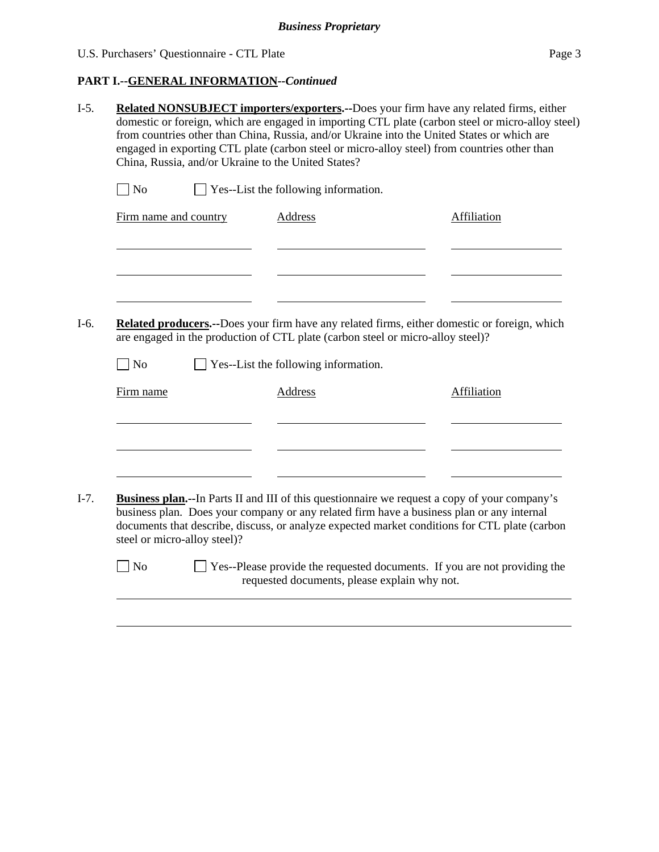| U.S. Purchasers' Questionnaire - CTL Plate | Page 3 |
|--------------------------------------------|--------|
|--------------------------------------------|--------|

# **PART I.--GENERAL INFORMATION***--Continued*

|                                   | China, Russia, and/or Ukraine to the United States?                                                                                                                             |                | Related NONSUBJECT importers/exporters.--Does your firm have any related firms, either |  | domestic or foreign, which are engaged in importing CTL plate (carbon steel or micro-alloy steel)<br>from countries other than China, Russia, and/or Ukraine into the United States or which are<br>engaged in exporting CTL plate (carbon steel or micro-alloy steel) from countries other than    |  |
|-----------------------------------|---------------------------------------------------------------------------------------------------------------------------------------------------------------------------------|----------------|----------------------------------------------------------------------------------------|--|-----------------------------------------------------------------------------------------------------------------------------------------------------------------------------------------------------------------------------------------------------------------------------------------------------|--|
| $\Box$ No                         |                                                                                                                                                                                 |                | Yes--List the following information.                                                   |  |                                                                                                                                                                                                                                                                                                     |  |
|                                   | Firm name and country                                                                                                                                                           | <b>Address</b> |                                                                                        |  | Affiliation                                                                                                                                                                                                                                                                                         |  |
|                                   |                                                                                                                                                                                 |                |                                                                                        |  |                                                                                                                                                                                                                                                                                                     |  |
|                                   | Related producers.--Does your firm have any related firms, either domestic or foreign, which<br>are engaged in the production of CTL plate (carbon steel or micro-alloy steel)? |                |                                                                                        |  |                                                                                                                                                                                                                                                                                                     |  |
|                                   |                                                                                                                                                                                 |                |                                                                                        |  |                                                                                                                                                                                                                                                                                                     |  |
| $\overline{\rm ~No}$<br>Firm name |                                                                                                                                                                                 | <b>Address</b> | Yes--List the following information.                                                   |  | <b>Affiliation</b>                                                                                                                                                                                                                                                                                  |  |
|                                   |                                                                                                                                                                                 |                |                                                                                        |  |                                                                                                                                                                                                                                                                                                     |  |
|                                   | steel or micro-alloy steel)?                                                                                                                                                    |                |                                                                                        |  | <b>Business plan.</b> --In Parts II and III of this questionnaire we request a copy of your company's<br>business plan. Does your company or any related firm have a business plan or any internal<br>documents that describe, discuss, or analyze expected market conditions for CTL plate (carbon |  |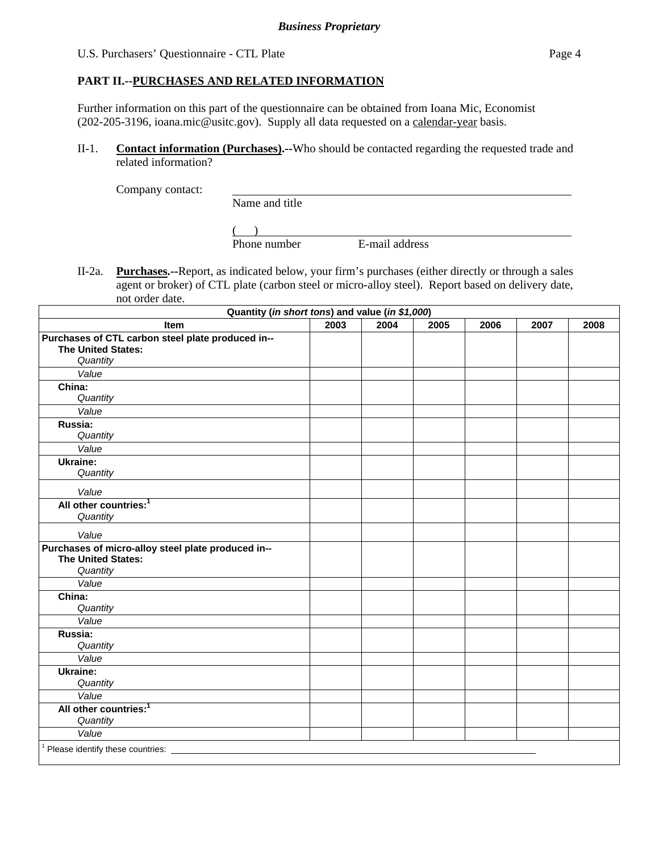U.S. Purchasers' Questionnaire - CTL Plate Page 4

### **PART II.--PURCHASES AND RELATED INFORMATION**

Further information on this part of the questionnaire can be obtained from Ioana Mic, Economist (202-205-3196, ioana.mic@usitc.gov). Supply all data requested on a calendar-year basis.

II-1. **Contact information (Purchases).--**Who should be contacted regarding the requested trade and related information?

Company contact:

Name and title

 $\frac{1}{2}$ Phone number E-mail address

II-2a. **Purchases.--**Report, as indicated below, your firm's purchases (either directly or through a sales agent or broker) of CTL plate (carbon steel or micro-alloy steel). Report based on delivery date, not order date.

| Quantity (in short tons) and value (in \$1,000)    |      |      |      |      |      |      |
|----------------------------------------------------|------|------|------|------|------|------|
| Item                                               | 2003 | 2004 | 2005 | 2006 | 2007 | 2008 |
| Purchases of CTL carbon steel plate produced in--  |      |      |      |      |      |      |
| <b>The United States:</b>                          |      |      |      |      |      |      |
| Quantity                                           |      |      |      |      |      |      |
| Value                                              |      |      |      |      |      |      |
| China:                                             |      |      |      |      |      |      |
| Quantity                                           |      |      |      |      |      |      |
| Value                                              |      |      |      |      |      |      |
| Russia:                                            |      |      |      |      |      |      |
| Quantity                                           |      |      |      |      |      |      |
| Value                                              |      |      |      |      |      |      |
| Ukraine:                                           |      |      |      |      |      |      |
| Quantity                                           |      |      |      |      |      |      |
| Value                                              |      |      |      |      |      |      |
| All other countries: <sup>1</sup>                  |      |      |      |      |      |      |
| Quantity                                           |      |      |      |      |      |      |
| Value                                              |      |      |      |      |      |      |
| Purchases of micro-alloy steel plate produced in-- |      |      |      |      |      |      |
| <b>The United States:</b>                          |      |      |      |      |      |      |
| Quantity                                           |      |      |      |      |      |      |
| Value                                              |      |      |      |      |      |      |
| China:                                             |      |      |      |      |      |      |
| Quantity                                           |      |      |      |      |      |      |
| Value                                              |      |      |      |      |      |      |
| Russia:                                            |      |      |      |      |      |      |
| Quantity                                           |      |      |      |      |      |      |
| Value                                              |      |      |      |      |      |      |
| Ukraine:                                           |      |      |      |      |      |      |
| Quantity                                           |      |      |      |      |      |      |
| Value                                              |      |      |      |      |      |      |
| All other countries: <sup>1</sup>                  |      |      |      |      |      |      |
| Quantity                                           |      |      |      |      |      |      |
| Value                                              |      |      |      |      |      |      |
| Please identify these countries: _____             |      |      |      |      |      |      |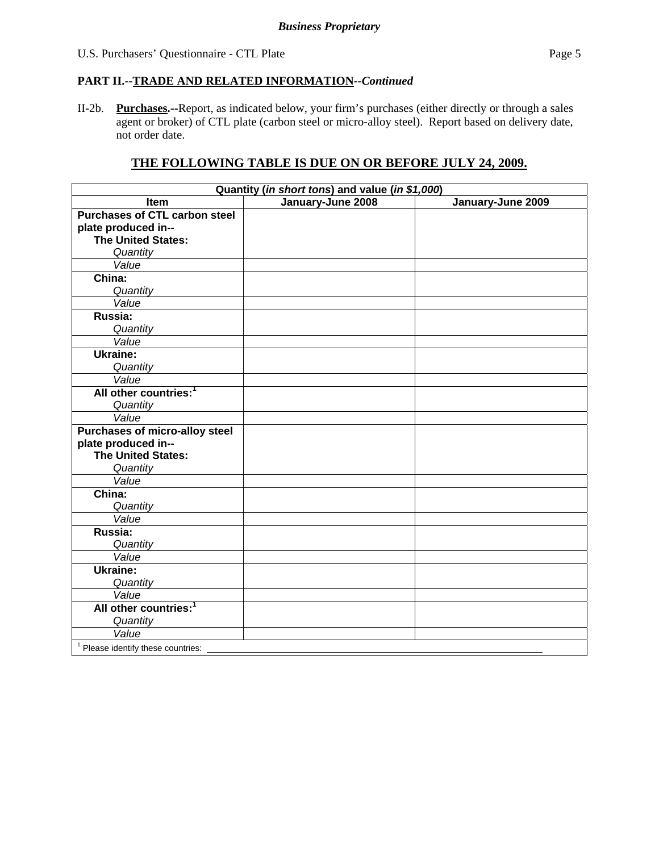### **PART II.--TRADE AND RELATED INFORMATION***--Continued*

II-2b. **Purchases.--**Report, as indicated below, your firm's purchases (either directly or through a sales agent or broker) of CTL plate (carbon steel or micro-alloy steel). Report based on delivery date, not order date.

# **THE FOLLOWING TABLE IS DUE ON OR BEFORE JULY 24, 2009.**

| Quantity (in short tons) and value (in \$1,000) |                   |                   |  |  |  |
|-------------------------------------------------|-------------------|-------------------|--|--|--|
| <b>Item</b>                                     | January-June 2008 | January-June 2009 |  |  |  |
| <b>Purchases of CTL carbon steel</b>            |                   |                   |  |  |  |
| plate produced in--                             |                   |                   |  |  |  |
| <b>The United States:</b>                       |                   |                   |  |  |  |
| Quantity                                        |                   |                   |  |  |  |
| Value                                           |                   |                   |  |  |  |
| China:                                          |                   |                   |  |  |  |
| Quantity                                        |                   |                   |  |  |  |
| Value                                           |                   |                   |  |  |  |
| Russia:                                         |                   |                   |  |  |  |
| Quantity                                        |                   |                   |  |  |  |
| Value                                           |                   |                   |  |  |  |
| Ukraine:                                        |                   |                   |  |  |  |
| Quantity                                        |                   |                   |  |  |  |
| Value                                           |                   |                   |  |  |  |
| All other countries: <sup>1</sup>               |                   |                   |  |  |  |
| Quantity                                        |                   |                   |  |  |  |
| Value                                           |                   |                   |  |  |  |
| <b>Purchases of micro-alloy steel</b>           |                   |                   |  |  |  |
| plate produced in--                             |                   |                   |  |  |  |
| <b>The United States:</b>                       |                   |                   |  |  |  |
| Quantity                                        |                   |                   |  |  |  |
| Value                                           |                   |                   |  |  |  |
| China:                                          |                   |                   |  |  |  |
| Quantity                                        |                   |                   |  |  |  |
| Value                                           |                   |                   |  |  |  |
| Russia:                                         |                   |                   |  |  |  |
| Quantity<br>Value                               |                   |                   |  |  |  |
| <b>Ukraine:</b>                                 |                   |                   |  |  |  |
|                                                 |                   |                   |  |  |  |
| Quantity<br>Value                               |                   |                   |  |  |  |
| All other countries: <sup>1</sup>               |                   |                   |  |  |  |
|                                                 |                   |                   |  |  |  |
| Quantity<br>Value                               |                   |                   |  |  |  |
|                                                 |                   |                   |  |  |  |
| <sup>1</sup> Please identify these countries:   |                   |                   |  |  |  |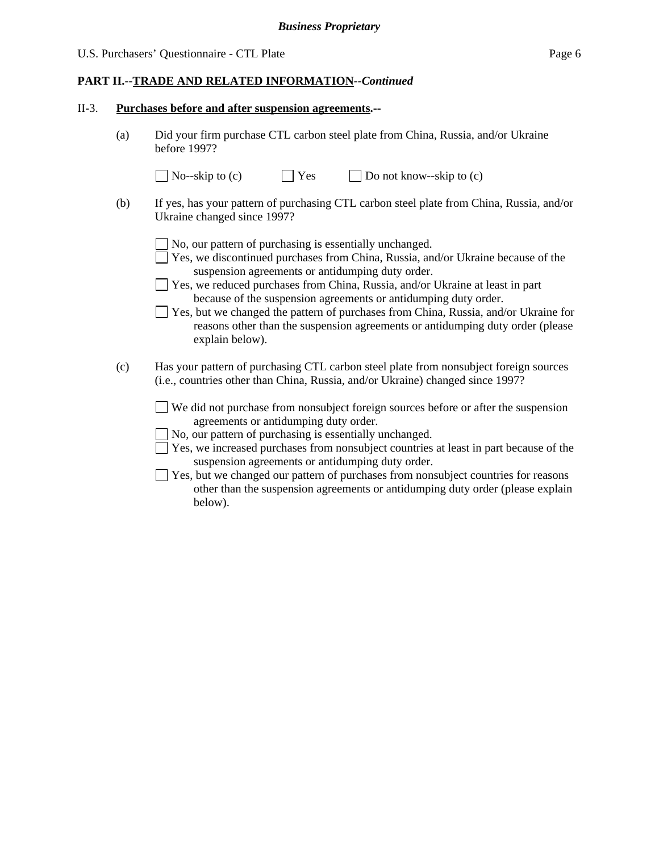### **PART II.--TRADE AND RELATED INFORMATION***--Continued*

#### II-3. **Purchases before and after suspension agreements.--**

(a) Did your firm purchase CTL carbon steel plate from China, Russia, and/or Ukraine before 1997?

|     | $\vert$ No--skip to (c)     | $  \nvert$ Yes | $\Box$ Do not know--skip to (c)                                                          |
|-----|-----------------------------|----------------|------------------------------------------------------------------------------------------|
| (b) | Ukraine changed since 1997? |                | If yes, has your pattern of purchasing CTL carbon steel plate from China, Russia, and/or |

 $\Box$  No, our pattern of purchasing is essentially unchanged.

- Yes, we discontinued purchases from China, Russia, and/or Ukraine because of the suspension agreements or antidumping duty order.
- Yes, we reduced purchases from China, Russia, and/or Ukraine at least in part because of the suspension agreements or antidumping duty order.
- Yes, but we changed the pattern of purchases from China, Russia, and/or Ukraine for reasons other than the suspension agreements or antidumping duty order (please explain below).
- (c) Has your pattern of purchasing CTL carbon steel plate from nonsubject foreign sources (i.e., countries other than China, Russia, and/or Ukraine) changed since 1997?

 We did not purchase from nonsubject foreign sources before or after the suspension agreements or antidumping duty order.

- $\Box$  No, our pattern of purchasing is essentially unchanged.
- Yes, we increased purchases from nonsubject countries at least in part because of the suspension agreements or antidumping duty order.
- $\Box$  Yes, but we changed our pattern of purchases from nonsubject countries for reasons other than the suspension agreements or antidumping duty order (please explain below).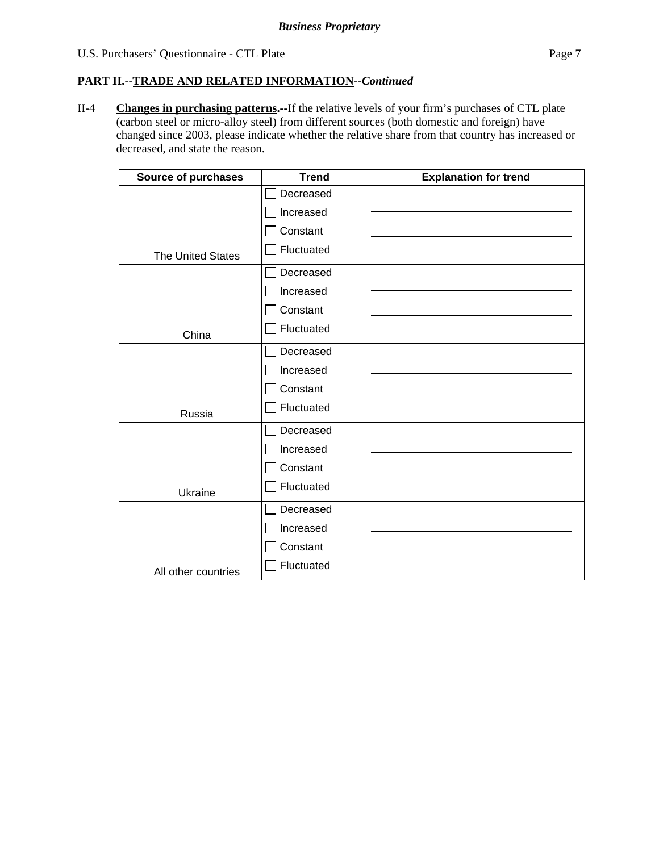### **PART II.--TRADE AND RELATED INFORMATION***--Continued*

II-4 **Changes in purchasing patterns.--**If the relative levels of your firm's purchases of CTL plate (carbon steel or micro-alloy steel) from different sources (both domestic and foreign) have changed since 2003, please indicate whether the relative share from that country has increased or decreased, and state the reason.

| <b>Source of purchases</b> | <b>Trend</b> | <b>Explanation for trend</b> |
|----------------------------|--------------|------------------------------|
|                            | Decreased    |                              |
|                            | Increased    |                              |
|                            | Constant     |                              |
| <b>The United States</b>   | Fluctuated   |                              |
|                            | Decreased    |                              |
|                            | Increased    |                              |
|                            | Constant     |                              |
| China                      | Fluctuated   |                              |
|                            | Decreased    |                              |
|                            | Increased    |                              |
|                            | Constant     |                              |
| Russia                     | Fluctuated   |                              |
|                            | Decreased    |                              |
|                            | Increased    |                              |
|                            | Constant     |                              |
| Ukraine                    | Fluctuated   |                              |
|                            | Decreased    |                              |
|                            | Increased    |                              |
|                            | Constant     |                              |
| All other countries        | Fluctuated   |                              |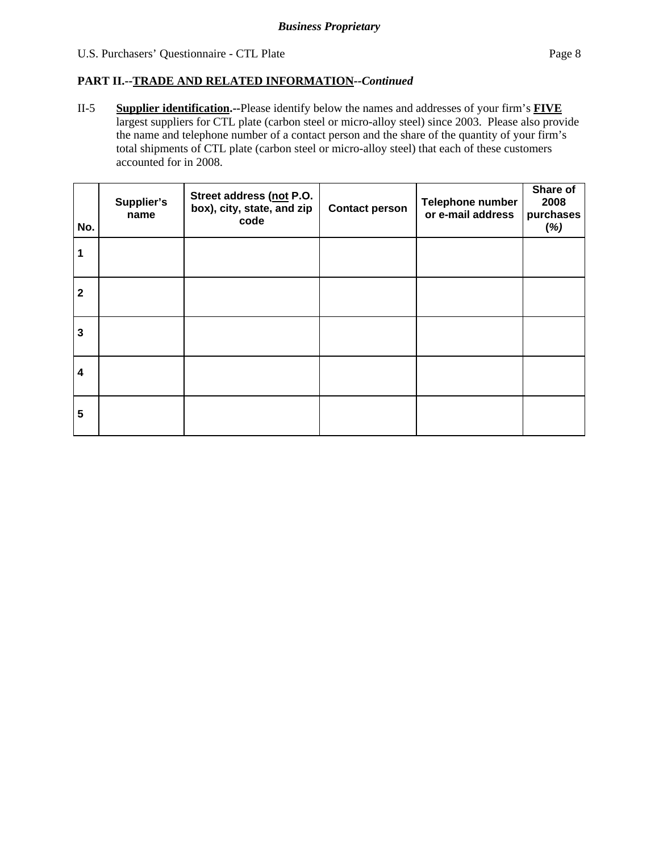### U.S. Purchasers' Questionnaire - CTL Plate Page 8

### **PART II.--TRADE AND RELATED INFORMATION***--Continued*

II-5 **Supplier identification.--**Please identify below the names and addresses of your firm's **FIVE** largest suppliers for CTL plate (carbon steel or micro-alloy steel) since 2003. Please also provide the name and telephone number of a contact person and the share of the quantity of your firm's total shipments of CTL plate (carbon steel or micro-alloy steel) that each of these customers accounted for in 2008.

| No.                     | Supplier's<br>name | Street address (not P.O.<br>box), city, state, and zip<br>code | <b>Contact person</b> | Telephone number<br>or e-mail address | Share of<br>2008<br>purchases<br>(%) |
|-------------------------|--------------------|----------------------------------------------------------------|-----------------------|---------------------------------------|--------------------------------------|
|                         |                    |                                                                |                       |                                       |                                      |
| $\mathbf{2}$            |                    |                                                                |                       |                                       |                                      |
| $\mathbf{3}$            |                    |                                                                |                       |                                       |                                      |
| $\overline{\mathbf{4}}$ |                    |                                                                |                       |                                       |                                      |
| $5\phantom{.0}$         |                    |                                                                |                       |                                       |                                      |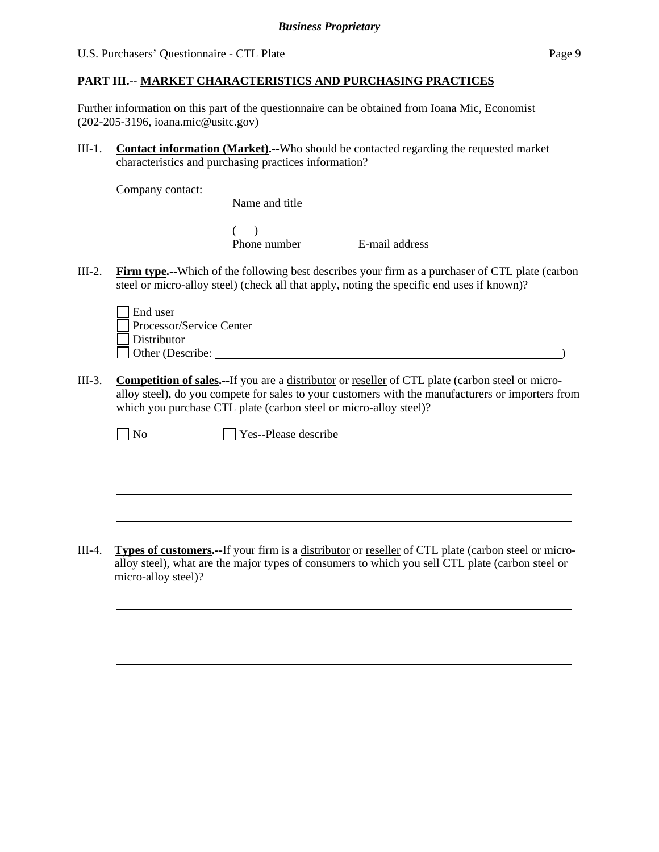Further information on this part of the questionnaire can be obtained from Ioana Mic, Economist (202-205-3196, ioana.mic@usitc.gov)

III-1. **Contact information (Market).--**Who should be contacted regarding the requested market characteristics and purchasing practices information?

Company contact:

Name and title

 $($ Phone number E-mail address

III-2. **Firm type.--**Which of the following best describes your firm as a purchaser of CTL plate (carbon steel or micro-alloy steel) (check all that apply, noting the specific end uses if known)?

| End user                 |  |
|--------------------------|--|
| Processor/Service Center |  |
| Distributor              |  |
| Other (Describe:         |  |

 $\overline{a}$ 

l

III-3. **Competition of sales.--**If you are a distributor or reseller of CTL plate (carbon steel or microalloy steel), do you compete for sales to your customers with the manufacturers or importers from which you purchase CTL plate (carbon steel or micro-alloy steel)?

III-4. **Types of customers.--**If your firm is a distributor or reseller of CTL plate (carbon steel or microalloy steel), what are the major types of consumers to which you sell CTL plate (carbon steel or micro-alloy steel)?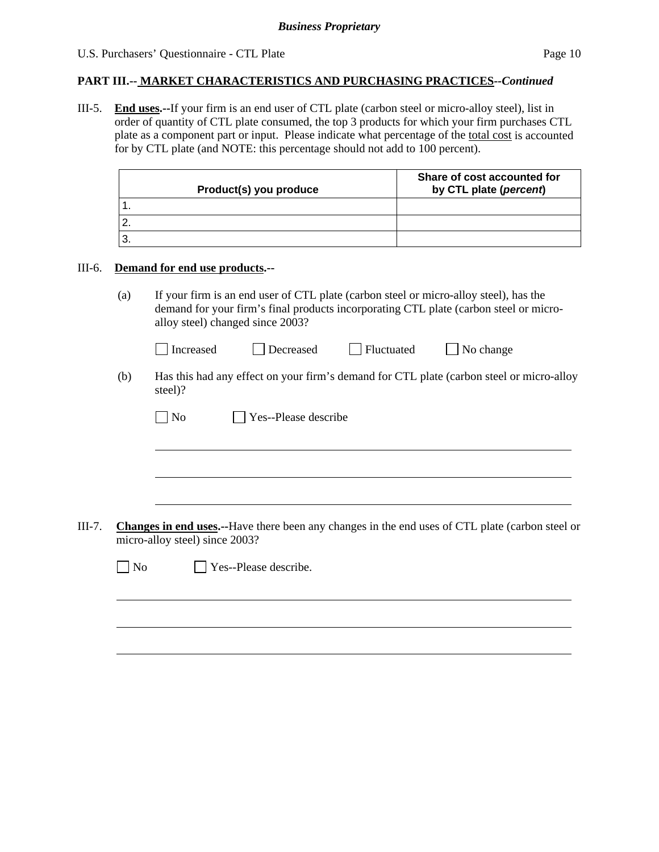### U.S. Purchasers' Questionnaire - CTL Plate Page 10

### **PART III.-- MARKET CHARACTERISTICS AND PURCHASING PRACTICES***--Continued*

III-5. **End uses.--**If your firm is an end user of CTL plate (carbon steel or micro-alloy steel), list in order of quantity of CTL plate consumed, the top 3 products for which your firm purchases CTL plate as a component part or input. Please indicate what percentage of the total cost is accounted for by CTL plate (and NOTE: this percentage should not add to 100 percent).

| Product(s) you produce | Share of cost accounted for<br>by CTL plate (percent) |
|------------------------|-------------------------------------------------------|
|                        |                                                       |
|                        |                                                       |
|                        |                                                       |

#### III-6. **Demand for end use products.--**

(a) If your firm is an end user of CTL plate (carbon steel or micro-alloy steel), has the demand for your firm's final products incorporating CTL plate (carbon steel or microalloy steel) changed since 2003?

| Decreased<br>l Increased | Fluctuated | $\Box$ No change |
|--------------------------|------------|------------------|
|--------------------------|------------|------------------|

(b) Has this had any effect on your firm's demand for CTL plate (carbon steel or micro-alloy steel)?

|        |                | $\overline{N}$ | Yes--Please describe                                                                                                              |
|--------|----------------|----------------|-----------------------------------------------------------------------------------------------------------------------------------|
|        |                |                |                                                                                                                                   |
|        |                |                |                                                                                                                                   |
| III-7. |                |                | Changes in end uses.--Have there been any changes in the end uses of CTL plate (carbon steel or<br>micro-alloy steel) since 2003? |
|        | N <sub>o</sub> |                | Yes--Please describe.                                                                                                             |
|        |                |                |                                                                                                                                   |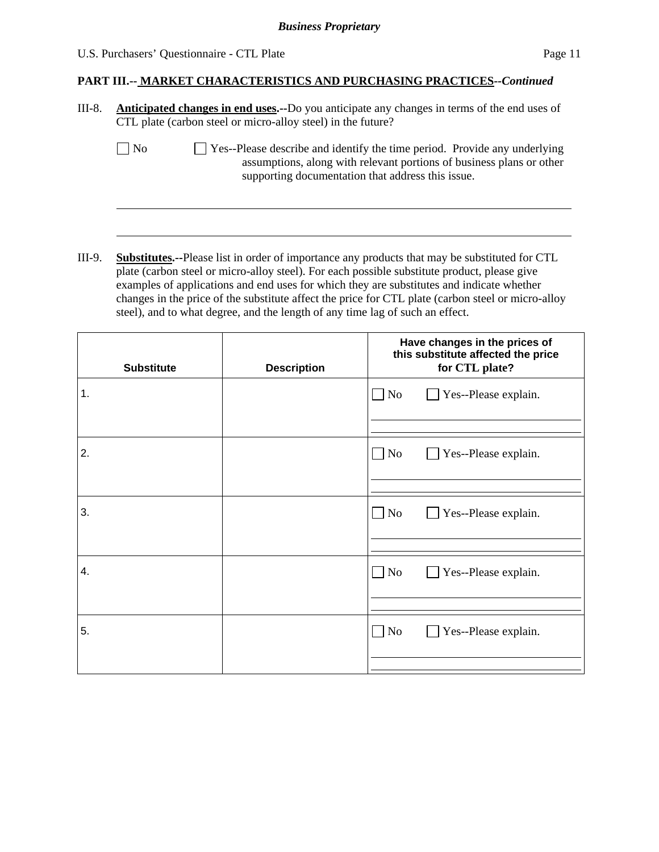#### U.S. Purchasers' Questionnaire - CTL Plate Page 11

 $\overline{a}$ 

### **PART III.-- MARKET CHARACTERISTICS AND PURCHASING PRACTICES***--Continued*

| III-8. | <b>Anticipated changes in end uses.</b> --Do you anticipate any changes in terms of the end uses of |
|--------|-----------------------------------------------------------------------------------------------------|
|        | CTL plate (carbon steel or micro-alloy steel) in the future?                                        |

 $\Box$  No  $\Box$  Yes--Please describe and identify the time period. Provide any underlying assumptions, along with relevant portions of business plans or other supporting documentation that address this issue.

III-9. **Substitutes.--**Please list in order of importance any products that may be substituted for CTL plate (carbon steel or micro-alloy steel). For each possible substitute product, please give examples of applications and end uses for which they are substitutes and indicate whether changes in the price of the substitute affect the price for CTL plate (carbon steel or micro-alloy steel), and to what degree, and the length of any time lag of such an effect.

| <b>Substitute</b> | <b>Description</b> | Have changes in the prices of<br>this substitute affected the price<br>for CTL plate? |  |
|-------------------|--------------------|---------------------------------------------------------------------------------------|--|
| 1.                |                    | $\Box$ No<br>Yes--Please explain.                                                     |  |
| 2.                |                    | $\Box$ No<br>Yes--Please explain.                                                     |  |
| 3.                |                    | $\Box$ No<br>Yes--Please explain.                                                     |  |
| 4.                |                    | $\Box$ No<br>Yes--Please explain.                                                     |  |
| 5.                |                    | $\Box$ No<br>Yes--Please explain.                                                     |  |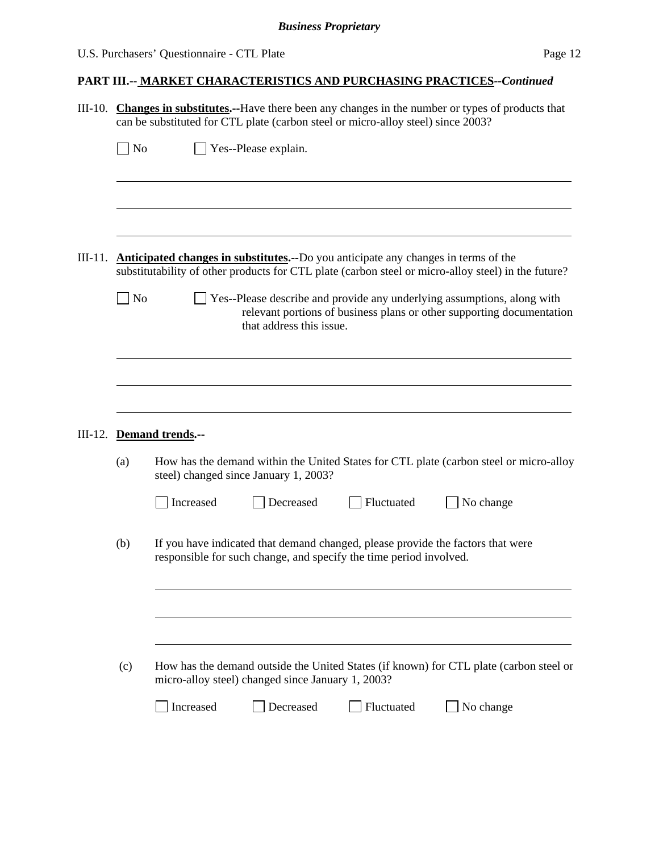#### U.S. Purchasers' Questionnaire - CTL Plate Page 12

### **PART III.-- MARKET CHARACTERISTICS AND PURCHASING PRACTICES***--Continued*

III-10. **Changes in substitutes.--**Have there been any changes in the number or types of products that can be substituted for CTL plate (carbon steel or micro-alloy steel) since 2003?

| $\Box$ No | $\Box$ Yes--Please explain. |
|-----------|-----------------------------|
|-----------|-----------------------------|

- III-11. **Anticipated changes in substitutes.--**Do you anticipate any changes in terms of the substitutability of other products for CTL plate (carbon steel or micro-alloy steel) in the future?
	- No  $\Box$  Yes--Please describe and provide any underlying assumptions, along with relevant portions of business plans or other supporting documentation that address this issue.

#### III-12. **Demand trends.--**

 $\overline{a}$ 

 $\overline{a}$ 

 $\overline{a}$ 

(a) How has the demand within the United States for CTL plate (carbon steel or micro-alloy steel) changed since January 1, 2003?

| Increased | Decreased | <b>Fluctuated</b> | $\Box$ No change |
|-----------|-----------|-------------------|------------------|
|           |           |                   |                  |

(b) If you have indicated that demand changed, please provide the factors that were responsible for such change, and specify the time period involved.

| (c) | How has the demand outside the United States (if known) for CTL plate (carbon steel or |
|-----|----------------------------------------------------------------------------------------|
|     | micro-alloy steel) changed since January 1, 2003?                                      |

| Increased<br>Decreased | <b>Fluctuated</b> | No change |
|------------------------|-------------------|-----------|
|------------------------|-------------------|-----------|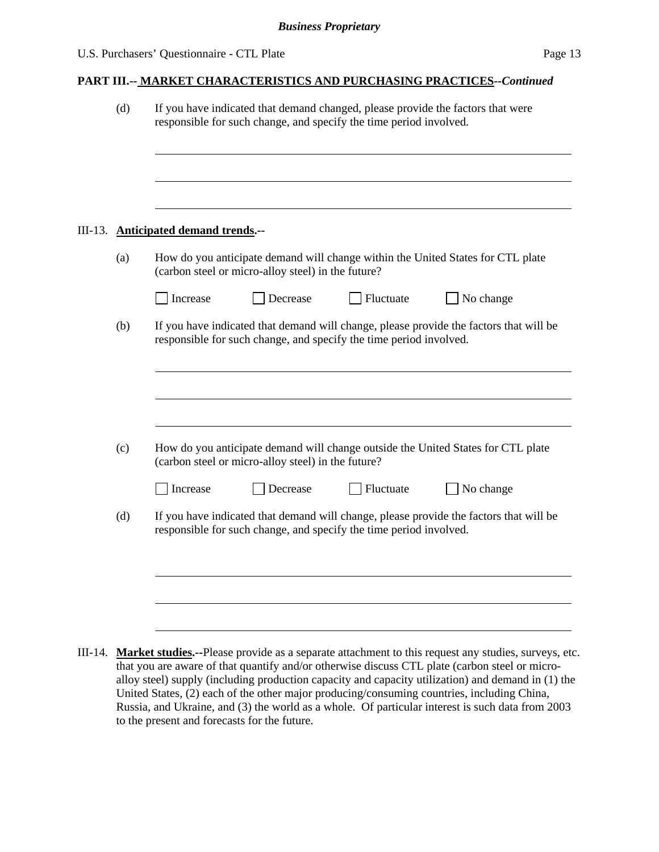| (d) |                                      |                                                    | responsible for such change, and specify the time period involved. | If you have indicated that demand changed, please provide the factors that were        |
|-----|--------------------------------------|----------------------------------------------------|--------------------------------------------------------------------|----------------------------------------------------------------------------------------|
|     |                                      |                                                    |                                                                    |                                                                                        |
|     | III-13. Anticipated demand trends.-- |                                                    |                                                                    |                                                                                        |
| (a) |                                      | (carbon steel or micro-alloy steel) in the future? |                                                                    | How do you anticipate demand will change within the United States for CTL plate        |
|     | Increase                             | Decrease                                           | Fluctuate                                                          | $\Box$ No change                                                                       |
| (b) |                                      |                                                    | responsible for such change, and specify the time period involved. | If you have indicated that demand will change, please provide the factors that will be |
|     |                                      |                                                    |                                                                    |                                                                                        |
| (c) |                                      |                                                    |                                                                    | How do you anticipate demand will change outside the United States for CTL plate       |
|     |                                      | (carbon steel or micro-alloy steel) in the future? |                                                                    |                                                                                        |
|     | Increase                             | Decrease                                           | Fluctuate                                                          | $\Box$ No change                                                                       |
| (d) |                                      |                                                    | responsible for such change, and specify the time period involved. | If you have indicated that demand will change, please provide the factors that will be |
|     |                                      |                                                    |                                                                    |                                                                                        |
|     |                                      |                                                    |                                                                    |                                                                                        |
|     |                                      |                                                    |                                                                    |                                                                                        |
|     |                                      |                                                    |                                                                    |                                                                                        |

that you are aware of that quantify and/or otherwise discuss CTL plate (carbon steel or microalloy steel) supply (including production capacity and capacity utilization) and demand in (1) the United States, (2) each of the other major producing/consuming countries, including China, Russia, and Ukraine, and (3) the world as a whole. Of particular interest is such data from 2003 to the present and forecasts for the future.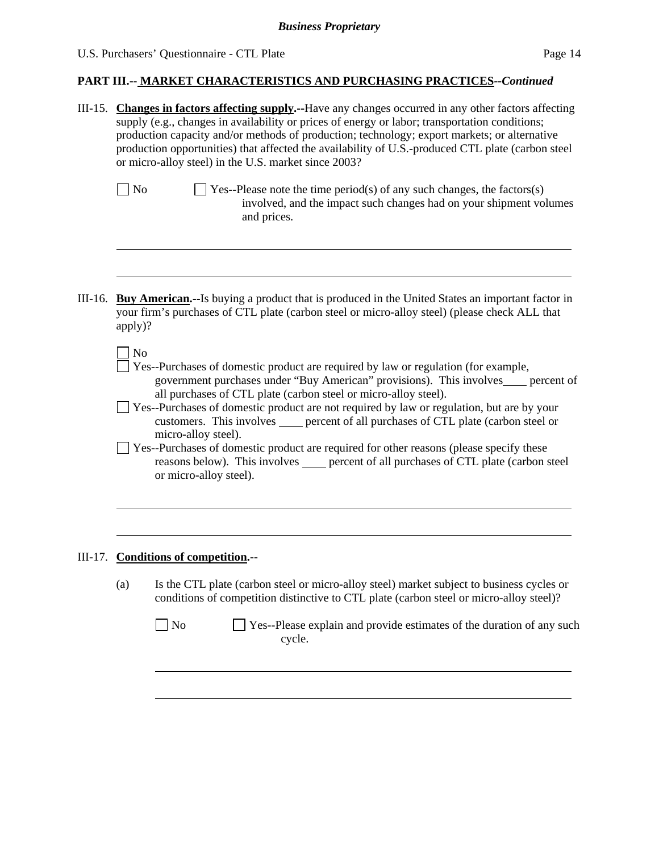# U.S. Purchasers' Questionnaire - CTL Plate Page 14

# **PART III.-- MARKET CHARACTERISTICS AND PURCHASING PRACTICES***--Continued*

|           | III-15. Changes in factors affecting supply.--Have any changes occurred in any other factors affecting<br>supply (e.g., changes in availability or prices of energy or labor; transportation conditions;<br>production capacity and/or methods of production; technology; export markets; or alternative<br>production opportunities) that affected the availability of U.S.-produced CTL plate (carbon steel<br>or micro-alloy steel) in the U.S. market since 2003?                                                                                                                                                                                                           |
|-----------|---------------------------------------------------------------------------------------------------------------------------------------------------------------------------------------------------------------------------------------------------------------------------------------------------------------------------------------------------------------------------------------------------------------------------------------------------------------------------------------------------------------------------------------------------------------------------------------------------------------------------------------------------------------------------------|
|           | $\Box$ No<br>$\exists$ Yes--Please note the time period(s) of any such changes, the factors(s)<br>involved, and the impact such changes had on your shipment volumes<br>and prices.                                                                                                                                                                                                                                                                                                                                                                                                                                                                                             |
| $III-16.$ | <b>Buy American.</b> --Is buying a product that is produced in the United States an important factor in<br>your firm's purchases of CTL plate (carbon steel or micro-alloy steel) (please check ALL that<br>apply)?                                                                                                                                                                                                                                                                                                                                                                                                                                                             |
|           | No<br>Yes--Purchases of domestic product are required by law or regulation (for example,<br>government purchases under "Buy American" provisions). This involves____ percent of<br>all purchases of CTL plate (carbon steel or micro-alloy steel).<br>Yes--Purchases of domestic product are not required by law or regulation, but are by your<br>customers. This involves _____ percent of all purchases of CTL plate (carbon steel or<br>micro-alloy steel).<br>Yes--Purchases of domestic product are required for other reasons (please specify these<br>reasons below). This involves _____ percent of all purchases of CTL plate (carbon steel<br>or micro-alloy steel). |
|           | III-17. Conditions of competition.--                                                                                                                                                                                                                                                                                                                                                                                                                                                                                                                                                                                                                                            |
|           | Is the CTL plate (carbon steel or micro-alloy steel) market subject to business cycles or<br>(a)<br>conditions of competition distinctive to CTL plate (carbon steel or micro-alloy steel)?                                                                                                                                                                                                                                                                                                                                                                                                                                                                                     |
|           | Yes--Please explain and provide estimates of the duration of any such<br>N <sub>o</sub><br>cycle.                                                                                                                                                                                                                                                                                                                                                                                                                                                                                                                                                                               |
|           |                                                                                                                                                                                                                                                                                                                                                                                                                                                                                                                                                                                                                                                                                 |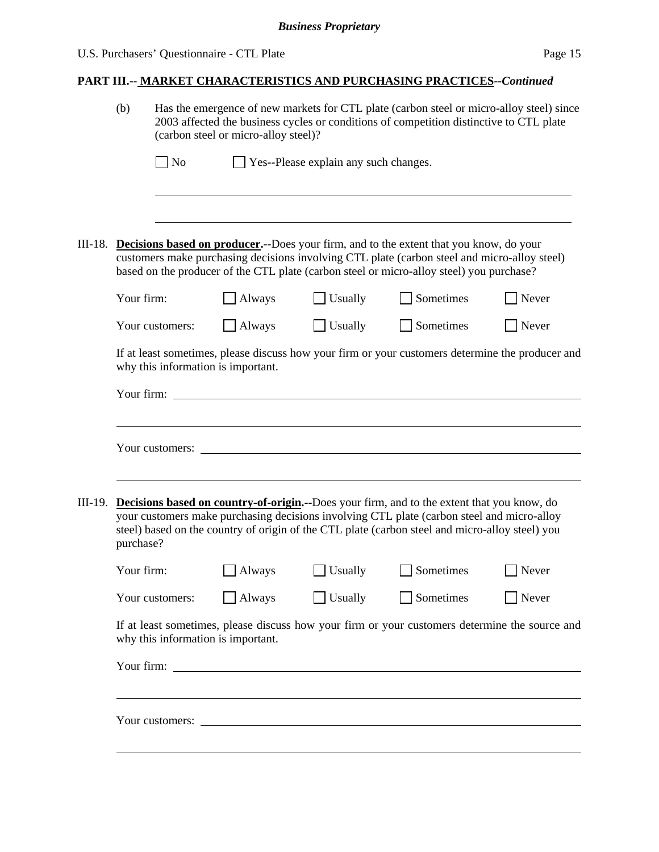# **PART III.-- MARKET CHARACTERISTICS AND PURCHASING PRACTICES***--Continued*

|         | (b)                                                                                                                                                                                                        | Has the emergence of new markets for CTL plate (carbon steel or micro-alloy steel) since<br>2003 affected the business cycles or conditions of competition distinctive to CTL plate<br>(carbon steel or micro-alloy steel)? |                                    |                                       |                                                                                                                                                                                                                                                                                            |       |  |
|---------|------------------------------------------------------------------------------------------------------------------------------------------------------------------------------------------------------------|-----------------------------------------------------------------------------------------------------------------------------------------------------------------------------------------------------------------------------|------------------------------------|---------------------------------------|--------------------------------------------------------------------------------------------------------------------------------------------------------------------------------------------------------------------------------------------------------------------------------------------|-------|--|
|         |                                                                                                                                                                                                            | <b>No</b>                                                                                                                                                                                                                   |                                    | Yes--Please explain any such changes. |                                                                                                                                                                                                                                                                                            |       |  |
|         |                                                                                                                                                                                                            |                                                                                                                                                                                                                             |                                    |                                       |                                                                                                                                                                                                                                                                                            |       |  |
| III-18. |                                                                                                                                                                                                            |                                                                                                                                                                                                                             |                                    |                                       | <b>Decisions based on producer.</b> --Does your firm, and to the extent that you know, do your<br>customers make purchasing decisions involving CTL plate (carbon steel and micro-alloy steel)<br>based on the producer of the CTL plate (carbon steel or micro-alloy steel) you purchase? |       |  |
|         | Your firm:                                                                                                                                                                                                 |                                                                                                                                                                                                                             | Always                             | Usually                               | Sometimes                                                                                                                                                                                                                                                                                  | Never |  |
|         |                                                                                                                                                                                                            | Your customers:                                                                                                                                                                                                             | Always                             | Usually                               | Sometimes                                                                                                                                                                                                                                                                                  | Never |  |
|         |                                                                                                                                                                                                            |                                                                                                                                                                                                                             | why this information is important. |                                       | If at least sometimes, please discuss how your firm or your customers determine the producer and                                                                                                                                                                                           |       |  |
|         | Your firm:                                                                                                                                                                                                 |                                                                                                                                                                                                                             |                                    |                                       |                                                                                                                                                                                                                                                                                            |       |  |
|         |                                                                                                                                                                                                            | Your customers:                                                                                                                                                                                                             |                                    |                                       |                                                                                                                                                                                                                                                                                            |       |  |
| III-19. |                                                                                                                                                                                                            |                                                                                                                                                                                                                             |                                    |                                       | <b>Decisions based on country-of-origin.</b> --Does your firm, and to the extent that you know, do                                                                                                                                                                                         |       |  |
|         | your customers make purchasing decisions involving CTL plate (carbon steel and micro-alloy<br>steel) based on the country of origin of the CTL plate (carbon steel and micro-alloy steel) you<br>purchase? |                                                                                                                                                                                                                             |                                    |                                       |                                                                                                                                                                                                                                                                                            |       |  |
|         | Your firm:                                                                                                                                                                                                 |                                                                                                                                                                                                                             | Always                             | Usually                               | Sometimes                                                                                                                                                                                                                                                                                  | Never |  |
|         |                                                                                                                                                                                                            | Your customers:                                                                                                                                                                                                             | Always                             | Usually                               | Sometimes                                                                                                                                                                                                                                                                                  | Never |  |
|         | If at least sometimes, please discuss how your firm or your customers determine the source and<br>why this information is important.                                                                       |                                                                                                                                                                                                                             |                                    |                                       |                                                                                                                                                                                                                                                                                            |       |  |
|         |                                                                                                                                                                                                            |                                                                                                                                                                                                                             |                                    |                                       |                                                                                                                                                                                                                                                                                            |       |  |
|         |                                                                                                                                                                                                            |                                                                                                                                                                                                                             |                                    |                                       |                                                                                                                                                                                                                                                                                            |       |  |
|         |                                                                                                                                                                                                            |                                                                                                                                                                                                                             |                                    |                                       |                                                                                                                                                                                                                                                                                            |       |  |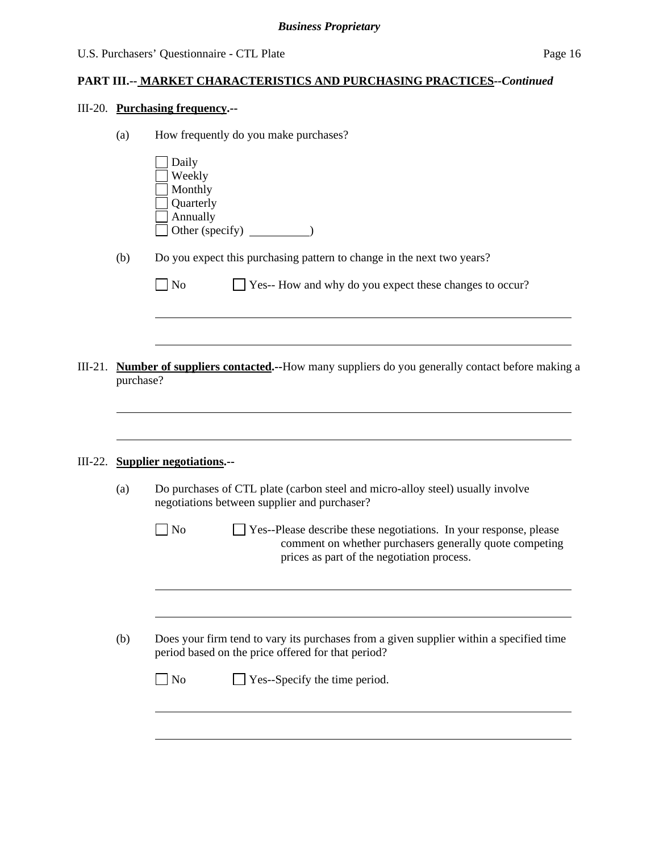# III-20. **Purchasing frequency.--**

| Daily<br>Weekly<br>Monthly<br>Quarterly<br>Annually<br>(b)<br>Do you expect this purchasing pattern to change in the next two years?<br>Yes-- How and why do you expect these changes to occur?<br>N <sub>o</sub><br><b>Number of suppliers contacted.--How many suppliers do you generally contact before making a</b><br>III-21.<br>purchase?<br><b>Supplier negotiations.--</b><br>III-22.<br>Do purchases of CTL plate (carbon steel and micro-alloy steel) usually involve<br>(a)<br>negotiations between supplier and purchaser?<br>No<br>prices as part of the negotiation process.<br>(b)<br>period based on the price offered for that period? | (a) | How frequently do you make purchases?                                                                                        |
|---------------------------------------------------------------------------------------------------------------------------------------------------------------------------------------------------------------------------------------------------------------------------------------------------------------------------------------------------------------------------------------------------------------------------------------------------------------------------------------------------------------------------------------------------------------------------------------------------------------------------------------------------------|-----|------------------------------------------------------------------------------------------------------------------------------|
|                                                                                                                                                                                                                                                                                                                                                                                                                                                                                                                                                                                                                                                         |     |                                                                                                                              |
|                                                                                                                                                                                                                                                                                                                                                                                                                                                                                                                                                                                                                                                         |     |                                                                                                                              |
|                                                                                                                                                                                                                                                                                                                                                                                                                                                                                                                                                                                                                                                         |     |                                                                                                                              |
|                                                                                                                                                                                                                                                                                                                                                                                                                                                                                                                                                                                                                                                         |     |                                                                                                                              |
|                                                                                                                                                                                                                                                                                                                                                                                                                                                                                                                                                                                                                                                         |     |                                                                                                                              |
|                                                                                                                                                                                                                                                                                                                                                                                                                                                                                                                                                                                                                                                         |     |                                                                                                                              |
|                                                                                                                                                                                                                                                                                                                                                                                                                                                                                                                                                                                                                                                         |     |                                                                                                                              |
|                                                                                                                                                                                                                                                                                                                                                                                                                                                                                                                                                                                                                                                         |     |                                                                                                                              |
|                                                                                                                                                                                                                                                                                                                                                                                                                                                                                                                                                                                                                                                         |     |                                                                                                                              |
|                                                                                                                                                                                                                                                                                                                                                                                                                                                                                                                                                                                                                                                         |     | Yes--Please describe these negotiations. In your response, please<br>comment on whether purchasers generally quote competing |
|                                                                                                                                                                                                                                                                                                                                                                                                                                                                                                                                                                                                                                                         |     |                                                                                                                              |
|                                                                                                                                                                                                                                                                                                                                                                                                                                                                                                                                                                                                                                                         |     | Does your firm tend to vary its purchases from a given supplier within a specified time                                      |
|                                                                                                                                                                                                                                                                                                                                                                                                                                                                                                                                                                                                                                                         |     | Yes--Specify the time period.<br>No                                                                                          |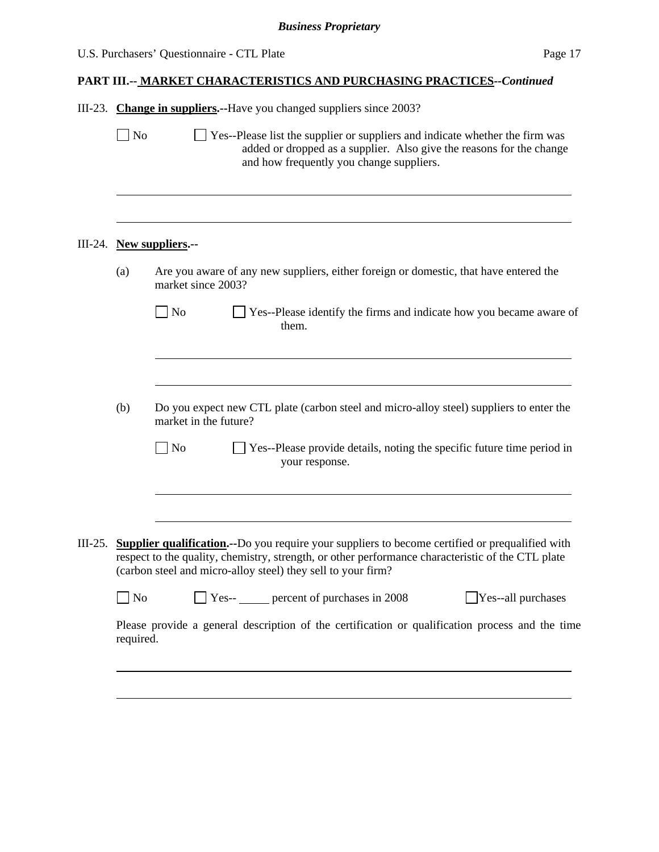| U.S. Purchasers' Questionnaire - CTL Plate | Page 17 |
|--------------------------------------------|---------|
|--------------------------------------------|---------|

|  |  |  | III-23. Change in suppliers.--Have you changed suppliers since 2003? |
|--|--|--|----------------------------------------------------------------------|
|  |  |  |                                                                      |

 $\Box$  No  $\Box$  Yes--Please list the supplier or suppliers and indicate whether the firm was added or dropped as a supplier. Also give the reasons for the change and how frequently you change suppliers. l III-24. **New suppliers.--**  (a) Are you aware of any new suppliers, either foreign or domestic, that have entered the market since 2003? No Ses--Please identify the firms and indicate how you became aware of them. l (b) Do you expect new CTL plate (carbon steel and micro-alloy steel) suppliers to enter the market in the future?  $\Box$  No  $\Box$  Yes--Please provide details, noting the specific future time period in your response. l III-25. **Supplier qualification.--**Do you require your suppliers to become certified or prequalified with respect to the quality, chemistry, strength, or other performance characteristic of the CTL plate (carbon steel and micro-alloy steel) they sell to your firm? No Ses-- percent of purchases in 2008 Yes--all purchases Please provide a general description of the certification or qualification process and the time required. l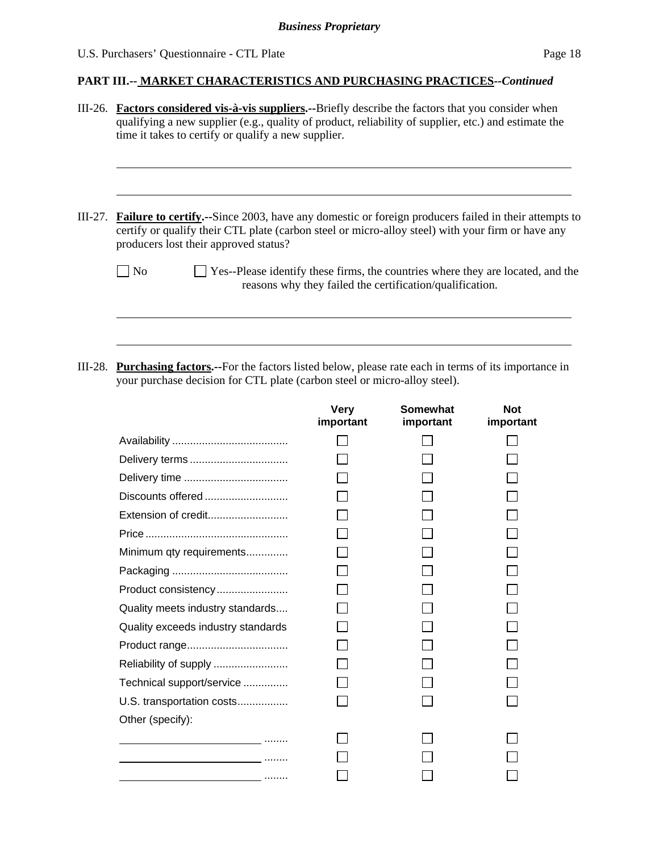| III-26. Factors considered vis-à-vis suppliers.--Briefly describe the factors that you consider when<br>qualifying a new supplier (e.g., quality of product, reliability of supplier, etc.) and estimate the<br>time it takes to certify or qualify a new supplier. |
|---------------------------------------------------------------------------------------------------------------------------------------------------------------------------------------------------------------------------------------------------------------------|
| III-27. Failure to certify.--Since 2003, have any domestic or foreign producers failed in their attempts to<br>certify or qualify their CTL plate (carbon steel or micro-alloy steel) with your firm or have any<br>producers lost their approved status?           |
| Yes--Please identify these firms, the countries where they are located, and the<br>N <sub>0</sub><br>reasons why they failed the certification/qualification.                                                                                                       |
| III-28. Purchasing factors.--For the factors listed below, please rate each in terms of its importance in                                                                                                                                                           |

your purchase decision for CTL plate (carbon steel or micro-alloy steel).

|                                                | <b>Very</b><br>important | Somewhat<br>important | <b>Not</b><br>important |
|------------------------------------------------|--------------------------|-----------------------|-------------------------|
|                                                |                          |                       |                         |
|                                                |                          |                       |                         |
|                                                |                          |                       |                         |
| Discounts offered                              |                          |                       |                         |
| Extension of credit                            |                          |                       |                         |
|                                                |                          |                       |                         |
| Minimum qty requirements                       |                          |                       |                         |
|                                                |                          |                       |                         |
| Product consistency                            |                          |                       |                         |
| Quality meets industry standards               |                          |                       |                         |
| Quality exceeds industry standards             |                          |                       |                         |
|                                                |                          |                       |                         |
|                                                |                          |                       |                         |
| Technical support/service                      |                          |                       |                         |
| U.S. transportation costs                      |                          |                       |                         |
| Other (specify):                               |                          |                       |                         |
| <u>and a complete the complete state</u>       |                          |                       |                         |
|                                                |                          |                       |                         |
| <u> 1989 - Johann Barbara, martin a</u> minist |                          |                       |                         |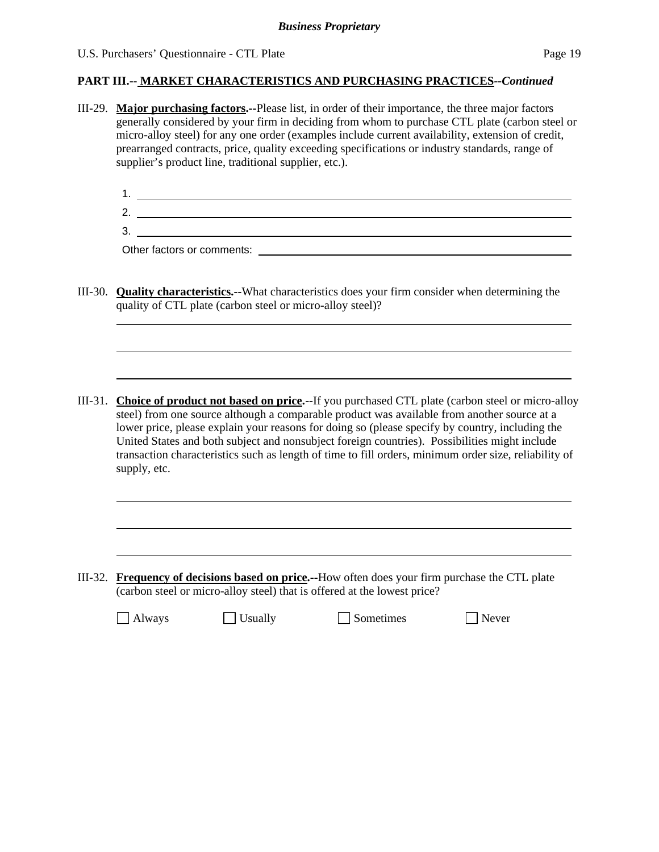### **PART III.-- MARKET CHARACTERISTICS AND PURCHASING PRACTICES***--Continued*

- III-29. **Major purchasing factors.--**Please list, in order of their importance, the three major factors generally considered by your firm in deciding from whom to purchase CTL plate (carbon steel or micro-alloy steel) for any one order (examples include current availability, extension of credit, prearranged contracts, price, quality exceeding specifications or industry standards, range of supplier's product line, traditional supplier, etc.).
	- 1. <u>The contract of the contract of the contract of the contract of the contract of the contract of</u> 2. 3.

Other factors or comments:

l

 $\overline{a}$ 

- III-30. **Quality characteristics.--**What characteristics does your firm consider when determining the quality of CTL plate (carbon steel or micro-alloy steel)?
- III-31. **Choice of product not based on price.--**If you purchased CTL plate (carbon steel or micro-alloy steel) from one source although a comparable product was available from another source at a lower price, please explain your reasons for doing so (please specify by country, including the United States and both subject and nonsubject foreign countries). Possibilities might include transaction characteristics such as length of time to fill orders, minimum order size, reliability of supply, etc.

III-32. **Frequency of decisions based on price.--**How often does your firm purchase the CTL plate (carbon steel or micro-alloy steel) that is offered at the lowest price?

 $\Box$  Always  $\Box$  Usually  $\Box$  Sometimes  $\Box$  Never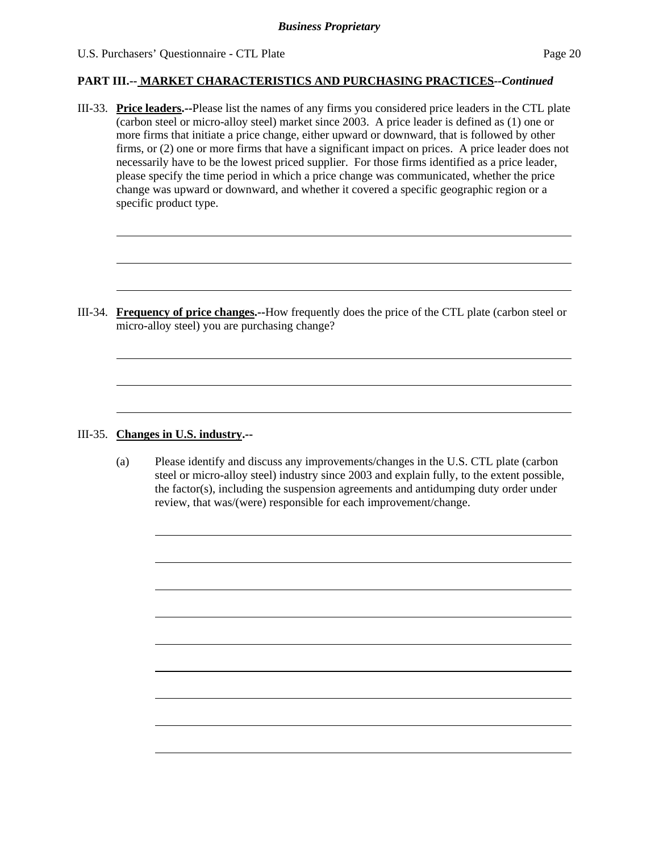#### U.S. Purchasers' Ouestionnaire - CTL Plate Page 20

### **PART III.-- MARKET CHARACTERISTICS AND PURCHASING PRACTICES***--Continued*

III-33. **Price leaders.--**Please list the names of any firms you considered price leaders in the CTL plate (carbon steel or micro-alloy steel) market since 2003. A price leader is defined as (1) one or more firms that initiate a price change, either upward or downward, that is followed by other firms, or (2) one or more firms that have a significant impact on prices. A price leader does not necessarily have to be the lowest priced supplier. For those firms identified as a price leader, please specify the time period in which a price change was communicated, whether the price change was upward or downward, and whether it covered a specific geographic region or a specific product type.

III-34. **Frequency of price changes.--**How frequently does the price of the CTL plate (carbon steel or micro-alloy steel) you are purchasing change?

### III-35. **Changes in U.S. industry.--**

l

 $\overline{a}$ 

 $\overline{a}$ 

(a) Please identify and discuss any improvements/changes in the U.S. CTL plate (carbon steel or micro-alloy steel) industry since 2003 and explain fully, to the extent possible, the factor(s), including the suspension agreements and antidumping duty order under review, that was/(were) responsible for each improvement/change.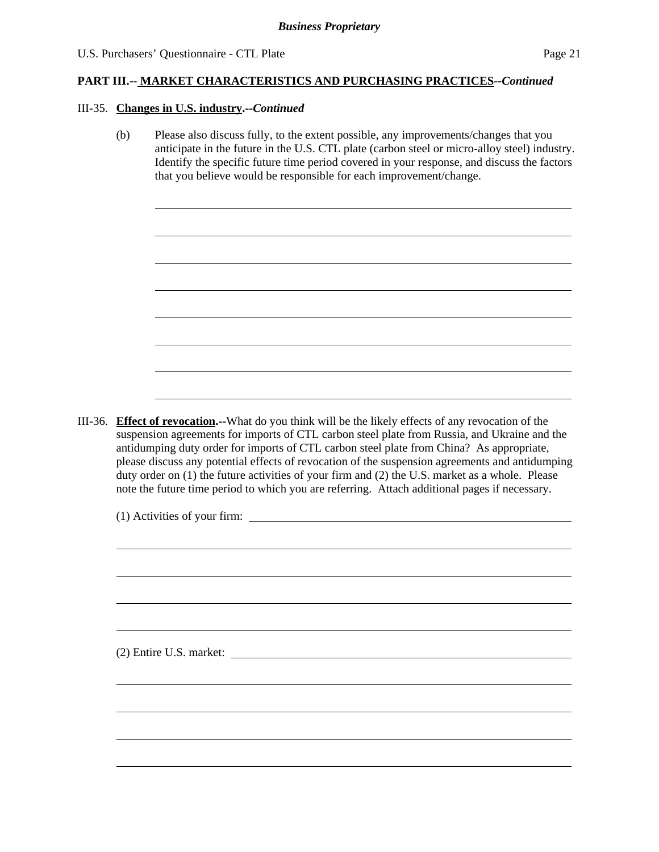#### III-35. **Changes in U.S. industry.--***Continued*

l

(b) Please also discuss fully, to the extent possible, any improvements/changes that you anticipate in the future in the U.S. CTL plate (carbon steel or micro-alloy steel) industry. Identify the specific future time period covered in your response, and discuss the factors that you believe would be responsible for each improvement/change.

III-36. **Effect of revocation.--**What do you think will be the likely effects of any revocation of the suspension agreements for imports of CTL carbon steel plate from Russia, and Ukraine and the antidumping duty order for imports of CTL carbon steel plate from China? As appropriate, please discuss any potential effects of revocation of the suspension agreements and antidumping duty order on (1) the future activities of your firm and (2) the U.S. market as a whole. Please note the future time period to which you are referring. Attach additional pages if necessary.

(1) Activities of your firm:

(2) Entire U.S. market: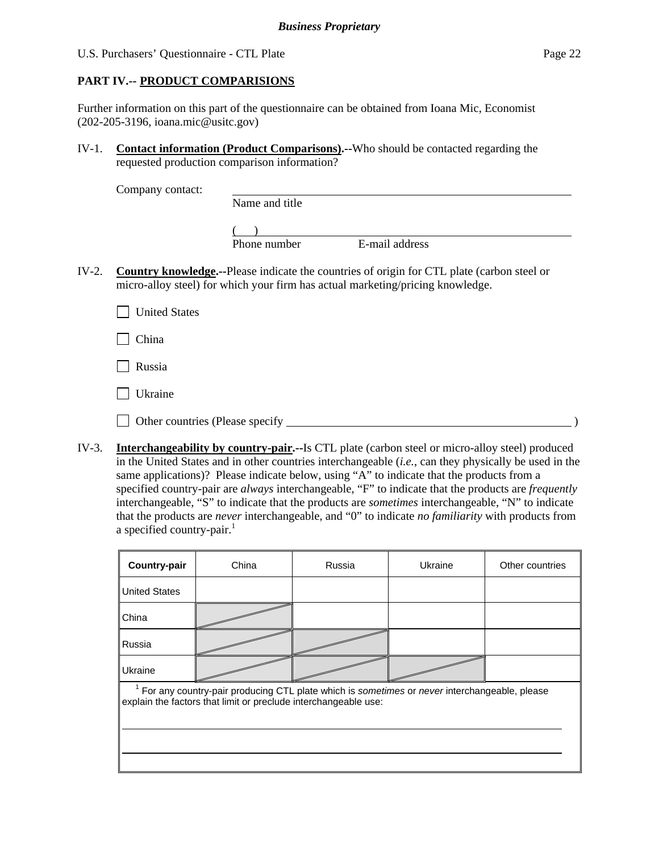U.S. Purchasers' Questionnaire - CTL Plate Page 22

### **PART IV.-- PRODUCT COMPARISIONS**

Further information on this part of the questionnaire can be obtained from Ioana Mic, Economist (202-205-3196, ioana.mic@usitc.gov)

IV-1. **Contact information (Product Comparisons).--**Who should be contacted regarding the requested production comparison information?

Company contact:

Name and title

 $($ Phone number E-mail address

IV-2. **Country knowledge.--**Please indicate the countries of origin for CTL plate (carbon steel or micro-alloy steel) for which your firm has actual marketing/pricing knowledge.

**United States** 

 $\Box$  China

Russia

 $\Box$  Ukraine

Other countries (Please specify )

IV-3. **Interchangeability by country-pair.--**Is CTL plate (carbon steel or micro-alloy steel) produced in the United States and in other countries interchangeable (*i.e.*, can they physically be used in the same applications)? Please indicate below, using "A" to indicate that the products from a specified country-pair are *always* interchangeable, "F" to indicate that the products are *frequently* interchangeable, "S" to indicate that the products are *sometimes* interchangeable, "N" to indicate that the products are *never* interchangeable, and "0" to indicate *no familiarity* with products from a specified country-pair. $<sup>1</sup>$ </sup>

| Country-pair                                                                                                                                                    | China | Russia | Ukraine | Other countries |  |  |  |  |
|-----------------------------------------------------------------------------------------------------------------------------------------------------------------|-------|--------|---------|-----------------|--|--|--|--|
| <b>United States</b>                                                                                                                                            |       |        |         |                 |  |  |  |  |
| China                                                                                                                                                           |       |        |         |                 |  |  |  |  |
| Russia                                                                                                                                                          |       |        |         |                 |  |  |  |  |
| Ukraine                                                                                                                                                         |       |        |         |                 |  |  |  |  |
| For any country-pair producing CTL plate which is sometimes or never interchangeable, please<br>explain the factors that limit or preclude interchangeable use: |       |        |         |                 |  |  |  |  |
|                                                                                                                                                                 |       |        |         |                 |  |  |  |  |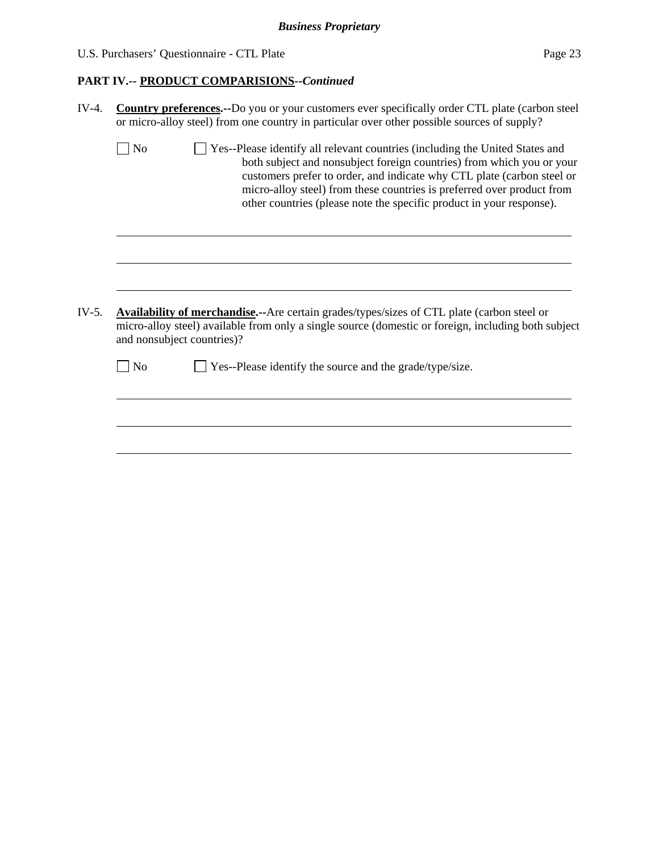# U.S. Purchasers' Questionnaire - CTL Plate Page 23

# **PART IV.-- PRODUCT COMPARISIONS***--Continued*

| $IV-4.$ | <b>Country preferences.</b> --Do you or your customers ever specifically order CTL plate (carbon steel<br>or micro-alloy steel) from one country in particular over other possible sources of supply?                                                                                                                                                                                          |
|---------|------------------------------------------------------------------------------------------------------------------------------------------------------------------------------------------------------------------------------------------------------------------------------------------------------------------------------------------------------------------------------------------------|
|         | $\Box$ No<br>Yes--Please identify all relevant countries (including the United States and<br>both subject and nonsubject foreign countries) from which you or your<br>customers prefer to order, and indicate why CTL plate (carbon steel or<br>micro-alloy steel) from these countries is preferred over product from<br>other countries (please note the specific product in your response). |
|         |                                                                                                                                                                                                                                                                                                                                                                                                |
| $IV-5.$ | <b>Availability of merchandise.</b> --Are certain grades/types/sizes of CTL plate (carbon steel or<br>micro-alloy steel) available from only a single source (domestic or foreign, including both subject<br>and nonsubject countries)?                                                                                                                                                        |
|         | Yes--Please identify the source and the grade/type/size.<br>N <sub>o</sub>                                                                                                                                                                                                                                                                                                                     |
|         |                                                                                                                                                                                                                                                                                                                                                                                                |
|         |                                                                                                                                                                                                                                                                                                                                                                                                |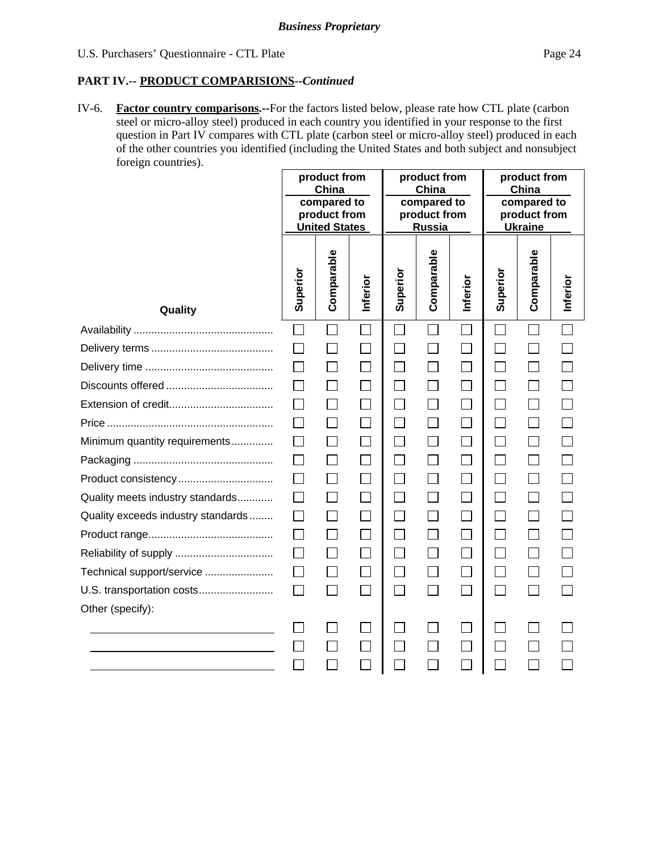### **PART IV.-- PRODUCT COMPARISIONS***--Continued*

IV-6. **Factor country comparisons.--**For the factors listed below, please rate how CTL plate (carbon steel or micro-alloy steel) produced in each country you identified in your response to the first question in Part IV compares with CTL plate (carbon steel or micro-alloy steel) produced in each of the other countries you identified (including the United States and both subject and nonsubject foreign countries).

|                                    | product from<br>China<br>compared to<br>product from<br><b>United States</b> |            | product from<br>China<br>compared to<br>product from<br>Russia |                             |            | product from<br>China<br>compared to<br>product from<br><b>Ukraine</b> |          |            |          |
|------------------------------------|------------------------------------------------------------------------------|------------|----------------------------------------------------------------|-----------------------------|------------|------------------------------------------------------------------------|----------|------------|----------|
| Quality                            | Superior                                                                     | Comparable | Inferior                                                       | Superior                    | Comparable | Inferior                                                               | Superior | Comparable | Inferior |
|                                    |                                                                              |            |                                                                |                             |            |                                                                        |          |            |          |
|                                    |                                                                              |            |                                                                |                             |            |                                                                        |          |            |          |
|                                    |                                                                              |            |                                                                | П                           |            |                                                                        |          |            |          |
|                                    |                                                                              |            |                                                                |                             |            |                                                                        |          |            |          |
|                                    |                                                                              |            |                                                                | $\vert \ \vert$             |            | $\mathsf{L}$                                                           |          |            |          |
|                                    |                                                                              |            |                                                                | $\Box$                      |            |                                                                        |          |            |          |
| Minimum quantity requirements      |                                                                              |            |                                                                | $\Box$                      |            |                                                                        |          |            |          |
|                                    |                                                                              |            |                                                                | $\Box$                      |            |                                                                        |          |            |          |
|                                    |                                                                              |            |                                                                | $\Box$                      |            |                                                                        |          |            |          |
| Quality meets industry standards   |                                                                              |            |                                                                | $\Box$                      |            |                                                                        |          |            |          |
| Quality exceeds industry standards |                                                                              |            |                                                                | $\Box$                      |            |                                                                        |          |            |          |
|                                    |                                                                              |            |                                                                | $\Box$                      |            |                                                                        |          |            |          |
|                                    | $\perp$                                                                      |            | $\mathsf{L}$                                                   | П                           |            | $\Box$                                                                 |          | $\Box$     |          |
| Technical support/service          |                                                                              |            |                                                                | $\mathcal{L}_{\mathcal{A}}$ |            |                                                                        |          |            |          |
| U.S. transportation costs          | $\perp$                                                                      |            |                                                                | $\Box$                      |            | $\Box$                                                                 | $\sim$   |            |          |
| Other (specify):                   |                                                                              |            |                                                                |                             |            |                                                                        |          |            |          |
|                                    |                                                                              |            |                                                                |                             |            |                                                                        |          |            |          |
|                                    |                                                                              |            |                                                                |                             |            |                                                                        |          |            |          |
|                                    |                                                                              |            |                                                                |                             |            |                                                                        |          |            |          |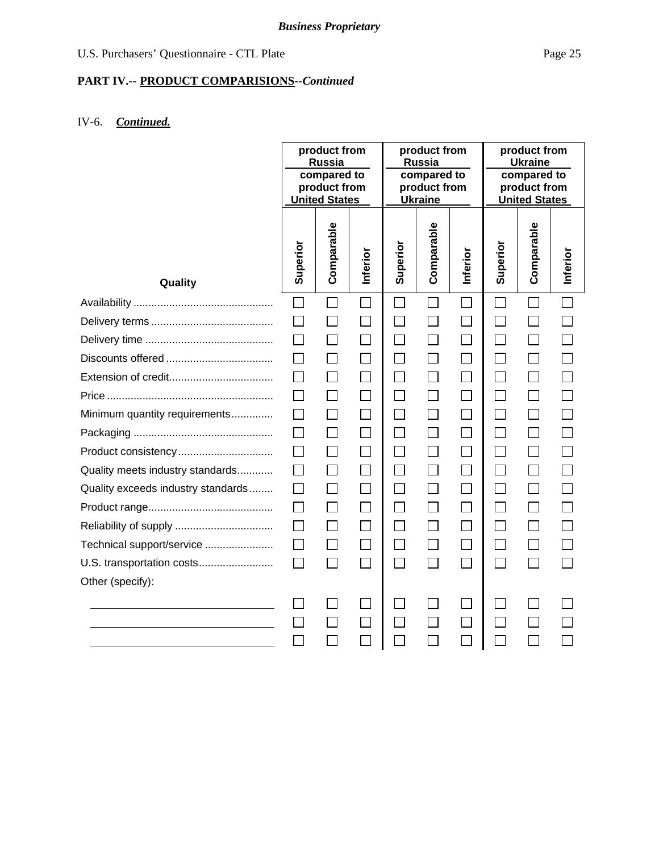# **PART IV.-- PRODUCT COMPARISIONS***--Continued*

# IV-6. *Continued.*

|                                    | product from<br><b>Russia</b><br>compared to<br>product from<br><b>United States</b> |                             | product from<br>Russia<br>compared to<br>product from<br><b>Ukraine</b> |                             |                             | product from<br><b>Ukraine</b><br>compared to<br>product from<br><b>United States</b> |                   |              |          |
|------------------------------------|--------------------------------------------------------------------------------------|-----------------------------|-------------------------------------------------------------------------|-----------------------------|-----------------------------|---------------------------------------------------------------------------------------|-------------------|--------------|----------|
| Quality                            | Superior                                                                             | Comparable                  | Inferior                                                                | Superior                    | Comparable                  | Inferior                                                                              | Superior          | Comparable   | Inferior |
|                                    | $\Box$                                                                               |                             | $\sim$                                                                  | $\sim$                      | $\sim$                      | $\mathbb{R}^n$                                                                        | $\vert \ \ \vert$ |              |          |
|                                    |                                                                                      |                             |                                                                         |                             |                             | $\Box$                                                                                |                   |              |          |
|                                    |                                                                                      |                             |                                                                         |                             |                             | $\Box$                                                                                |                   |              |          |
|                                    |                                                                                      |                             |                                                                         |                             |                             | $\Box$                                                                                |                   |              |          |
|                                    |                                                                                      |                             |                                                                         | $\Box$                      |                             | $\Box$                                                                                | $\mathsf{L}$      |              |          |
|                                    |                                                                                      | $\overline{\phantom{a}}$    |                                                                         | $\overline{\phantom{a}}$    | $\overline{\phantom{0}}$    | $\Box$                                                                                | $\blacksquare$    |              |          |
| Minimum quantity requirements      |                                                                                      | $\mathcal{L}_{\mathcal{A}}$ |                                                                         | $\mathcal{L}_{\mathcal{A}}$ | $\sim$                      | $\Box$                                                                                |                   |              |          |
|                                    | $\perp$                                                                              |                             | $\mathsf{L}$                                                            | $\Box$                      |                             | $\Box$                                                                                | $\mathsf{L}$      | $\mathsf{L}$ |          |
| Product consistency                |                                                                                      |                             |                                                                         | $\sim$                      |                             | $\Box$                                                                                |                   |              |          |
| Quality meets industry standards   |                                                                                      |                             |                                                                         | $\sim$                      |                             | $\Box$                                                                                |                   |              |          |
| Quality exceeds industry standards |                                                                                      |                             |                                                                         | $\Box$                      |                             | $\Box$                                                                                |                   |              |          |
|                                    |                                                                                      | $\Box$                      |                                                                         | П                           |                             | $\Box$                                                                                | $\mathsf{L}$      |              |          |
|                                    | $\Box$                                                                               | $\Box$                      |                                                                         | T.                          |                             | $\Box$                                                                                | $\mathcal{L}$     |              |          |
| Technical support/service          |                                                                                      | $\Box$                      | $\mathcal{L}$                                                           | $\Box$                      | $\mathcal{L}_{\mathcal{A}}$ | $\Box$                                                                                | П                 |              |          |
| U.S. transportation costs          |                                                                                      |                             | $\mathsf{L}$                                                            | $\mathcal{L}$               |                             | $\Box$                                                                                | $\mathbf{L}$      |              |          |
| Other (specify):                   |                                                                                      |                             |                                                                         |                             |                             |                                                                                       |                   |              |          |
|                                    |                                                                                      |                             |                                                                         |                             |                             | $\Box$                                                                                |                   |              |          |
|                                    |                                                                                      |                             |                                                                         |                             |                             | $\Box$                                                                                |                   |              |          |
|                                    |                                                                                      |                             |                                                                         |                             |                             |                                                                                       |                   |              |          |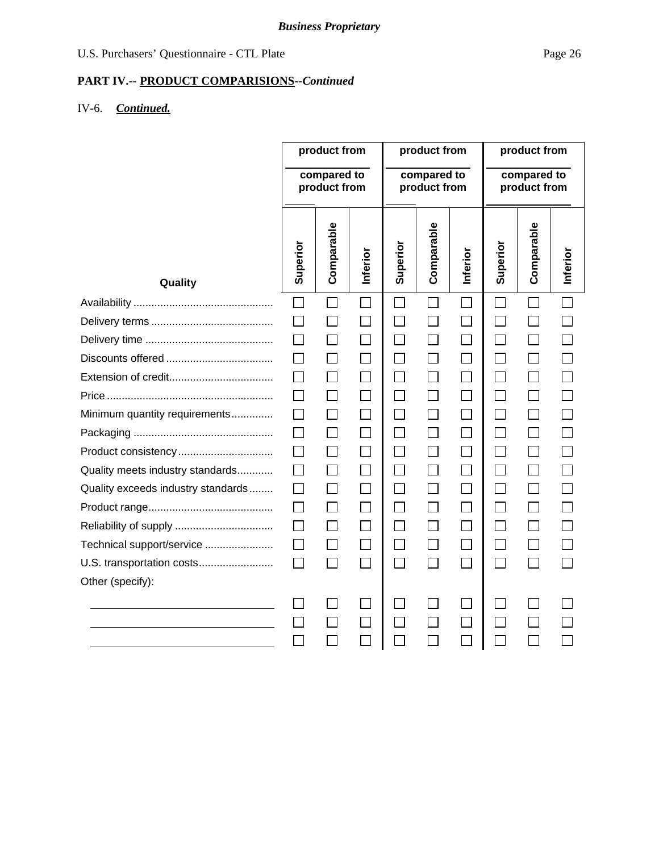# **PART IV.-- PRODUCT COMPARISIONS***--Continued*

# IV-6. *Continued.*

|                                    | product from                |              | product from                |          |                          | product from                |                             |              |          |
|------------------------------------|-----------------------------|--------------|-----------------------------|----------|--------------------------|-----------------------------|-----------------------------|--------------|----------|
|                                    | compared to<br>product from |              | compared to<br>product from |          |                          | compared to<br>product from |                             |              |          |
| Quality                            | Superior                    | Comparable   | Inferior                    | Superior | Comparable               | Inferior                    | Superior                    | Comparable   | Inferior |
|                                    |                             |              |                             |          |                          |                             |                             |              |          |
|                                    |                             |              |                             |          |                          | $\Box$                      | $\mathsf{L}$                |              |          |
|                                    |                             |              |                             | $\sim$   |                          | $\Box$                      | $\mathcal{L}$               |              |          |
|                                    |                             | $\mathsf{L}$ |                             | $\sim$   |                          | $\Box$                      |                             |              |          |
|                                    |                             | $\mathsf{L}$ |                             | $\Box$   |                          | $\Box$                      | <b>Contract</b>             | $\mathsf{L}$ |          |
|                                    |                             |              |                             |          |                          |                             |                             |              |          |
| Minimum quantity requirements      |                             |              |                             |          |                          | $\Box$                      |                             |              |          |
|                                    |                             | $\Box$       | $\Box$                      | $\Box$   |                          | $\Box$                      | $\mathcal{L}_{\mathcal{A}}$ | $\Box$       |          |
|                                    |                             | $\Box$       |                             | $\Box$   |                          | $\Box$                      | $\Box$                      |              |          |
| Quality meets industry standards   |                             | П            |                             | $\Box$   |                          | $\Box$                      | <b>Contract</b>             | $\mathsf{L}$ |          |
| Quality exceeds industry standards |                             | $\mathbf{I}$ |                             |          |                          | $\Box$                      |                             |              |          |
|                                    |                             | $\Box$       |                             |          |                          | $\Box$                      | $\sim$                      |              |          |
|                                    |                             |              |                             |          |                          | $\Box$                      |                             |              |          |
| Technical support/service          |                             | $\Box$       |                             |          |                          |                             | $\mathcal{L}$               |              |          |
| U.S. transportation costs          |                             | П            | $\mathbf{L}$                | $\Box$   | $\overline{\phantom{0}}$ | $\Box$                      | П                           |              |          |
| Other (specify):                   |                             |              |                             |          |                          |                             |                             |              |          |
|                                    |                             |              |                             |          |                          | $\mathbb{R}^2$              |                             |              |          |
|                                    |                             |              |                             |          |                          | $\mathcal{L}_{\mathcal{A}}$ |                             |              |          |
|                                    |                             |              |                             |          |                          |                             |                             |              |          |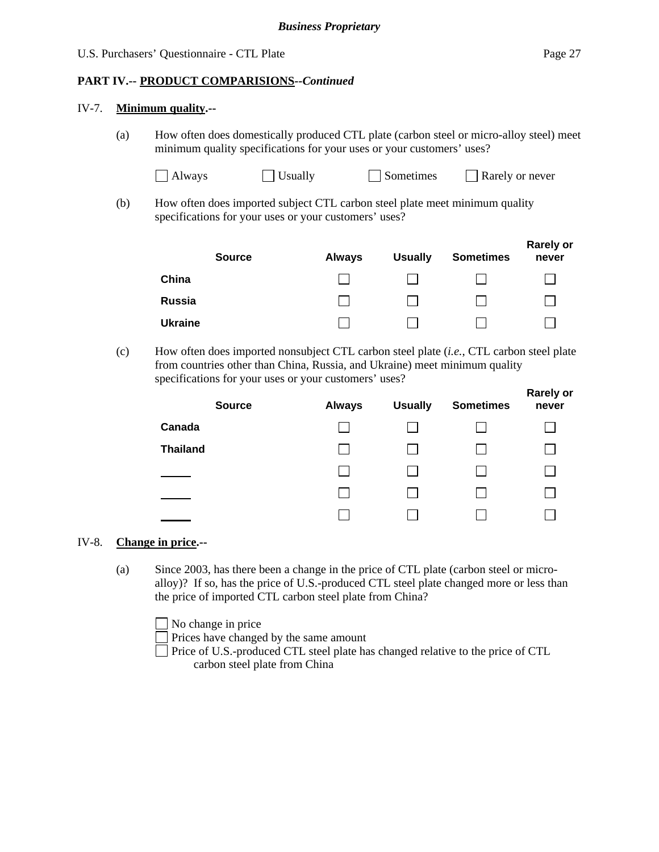**Rarely or** 

### **PART IV.-- PRODUCT COMPARISIONS***--Continued*

#### IV-7. **Minimum quality.--**

(a) How often does domestically produced CTL plate (carbon steel or micro-alloy steel) meet minimum quality specifications for your uses or your customers' uses?

| Always | $\exists$ Usually | Sometimes |
|--------|-------------------|-----------|
|        |                   |           |

- $\Box$  Rarely or never
- (b) How often does imported subject CTL carbon steel plate meet minimum quality specifications for your uses or your customers' uses?

| <b>Source</b>  | <b>Always</b> | <b>Usually</b> | <b>Sometimes</b> | <b>Rarely or</b><br>never |
|----------------|---------------|----------------|------------------|---------------------------|
| China          |               |                |                  |                           |
| Russia         |               |                |                  |                           |
| <b>Ukraine</b> |               |                |                  |                           |

(c) How often does imported nonsubject CTL carbon steel plate (*i.e.*, CTL carbon steel plate from countries other than China, Russia, and Ukraine) meet minimum quality specifications for your uses or your customers' uses?

|                 | <b>Source</b> | <b>Always</b> | <b>Usually</b> | <b>Sometimes</b> | <b>Rarely Of</b><br>never |
|-----------------|---------------|---------------|----------------|------------------|---------------------------|
| Canada          |               |               |                |                  |                           |
| <b>Thailand</b> |               |               |                |                  |                           |
|                 |               |               |                |                  |                           |
|                 |               |               |                |                  |                           |
|                 |               |               |                |                  |                           |

#### IV-8. **Change in price.--**

(a) Since 2003, has there been a change in the price of CTL plate (carbon steel or microalloy)? If so, has the price of U.S.-produced CTL steel plate changed more or less than the price of imported CTL carbon steel plate from China?

No change in price Prices have changed by the same amount Price of U.S.-produced CTL steel plate has changed relative to the price of CTL carbon steel plate from China